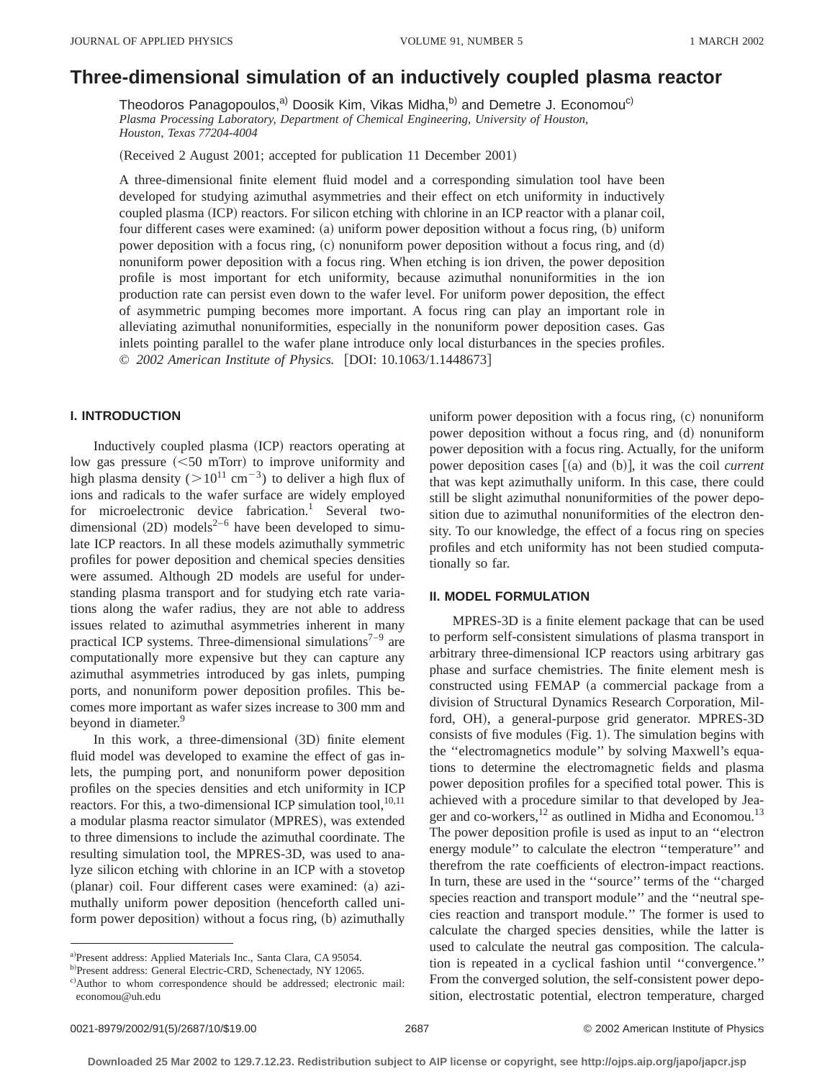# **Three-dimensional simulation of an inductively coupled plasma reactor**

Theodoros Panagopoulos,<sup>a)</sup> Doosik Kim, Vikas Midha,<sup>b)</sup> and Demetre J. Economou<sup>c)</sup> *Plasma Processing Laboratory, Department of Chemical Engineering, University of Houston, Houston, Texas 77204-4004*

(Received 2 August 2001; accepted for publication 11 December 2001)

A three-dimensional finite element fluid model and a corresponding simulation tool have been developed for studying azimuthal asymmetries and their effect on etch uniformity in inductively coupled plasma (ICP) reactors. For silicon etching with chlorine in an ICP reactor with a planar coil, four different cases were examined: (a) uniform power deposition without a focus ring, (b) uniform power deposition with a focus ring, (c) nonuniform power deposition without a focus ring, and (d) nonuniform power deposition with a focus ring. When etching is ion driven, the power deposition profile is most important for etch uniformity, because azimuthal nonuniformities in the ion production rate can persist even down to the wafer level. For uniform power deposition, the effect of asymmetric pumping becomes more important. A focus ring can play an important role in alleviating azimuthal nonuniformities, especially in the nonuniform power deposition cases. Gas inlets pointing parallel to the wafer plane introduce only local disturbances in the species profiles. © 2002 American Institute of Physics. [DOI: 10.1063/1.1448673]

## **I. INTRODUCTION**

Inductively coupled plasma (ICP) reactors operating at low gas pressure  $(<50$  mTorr) to improve uniformity and high plasma density ( $>10^{11}$  cm<sup>-3</sup>) to deliver a high flux of ions and radicals to the wafer surface are widely employed for microelectronic device fabrication.<sup>1</sup> Several twodimensional  $(2D)$  models<sup>2–6</sup> have been developed to simulate ICP reactors. In all these models azimuthally symmetric profiles for power deposition and chemical species densities were assumed. Although 2D models are useful for understanding plasma transport and for studying etch rate variations along the wafer radius, they are not able to address issues related to azimuthal asymmetries inherent in many practical ICP systems. Three-dimensional simulations<sup>7-9</sup> are computationally more expensive but they can capture any azimuthal asymmetries introduced by gas inlets, pumping ports, and nonuniform power deposition profiles. This becomes more important as wafer sizes increase to 300 mm and beyond in diameter.<sup>9</sup>

In this work, a three-dimensional  $(3D)$  finite element fluid model was developed to examine the effect of gas inlets, the pumping port, and nonuniform power deposition profiles on the species densities and etch uniformity in ICP reactors. For this, a two-dimensional ICP simulation tool, $^{10,11}$ a modular plasma reactor simulator (MPRES), was extended to three dimensions to include the azimuthal coordinate. The resulting simulation tool, the MPRES-3D, was used to analyze silicon etching with chlorine in an ICP with a stovetop (planar) coil. Four different cases were examined: (a) azimuthally uniform power deposition (henceforth called uniform power deposition) without a focus ring, (b) azimuthally

uniform power deposition with a focus ring,  $(c)$  nonuniform power deposition without a focus ring, and (d) nonuniform power deposition with a focus ring. Actually, for the uniform power deposition cases  $[(a)$  and  $(b)]$ , it was the coil *current* that was kept azimuthally uniform. In this case, there could still be slight azimuthal nonuniformities of the power deposition due to azimuthal nonuniformities of the electron density. To our knowledge, the effect of a focus ring on species profiles and etch uniformity has not been studied computationally so far.

## **II. MODEL FORMULATION**

MPRES-3D is a finite element package that can be used to perform self-consistent simulations of plasma transport in arbitrary three-dimensional ICP reactors using arbitrary gas phase and surface chemistries. The finite element mesh is constructed using FEMAP (a commercial package from a division of Structural Dynamics Research Corporation, Milford, OH), a general-purpose grid generator. MPRES-3D consists of five modules (Fig. 1). The simulation begins with the ''electromagnetics module'' by solving Maxwell's equations to determine the electromagnetic fields and plasma power deposition profiles for a specified total power. This is achieved with a procedure similar to that developed by Jeager and co-workers,<sup>12</sup> as outlined in Midha and Economou.<sup>13</sup> The power deposition profile is used as input to an ''electron energy module'' to calculate the electron ''temperature'' and therefrom the rate coefficients of electron-impact reactions. In turn, these are used in the ''source'' terms of the ''charged species reaction and transport module'' and the ''neutral species reaction and transport module.'' The former is used to calculate the charged species densities, while the latter is used to calculate the neutral gas composition. The calculation is repeated in a cyclical fashion until ''convergence.'' From the converged solution, the self-consistent power deposition, electrostatic potential, electron temperature, charged

a)Present address: Applied Materials Inc., Santa Clara, CA 95054.

b)Present address: General Electric-CRD, Schenectady, NY 12065.

c)Author to whom correspondence should be addressed; electronic mail: economou@uh.edu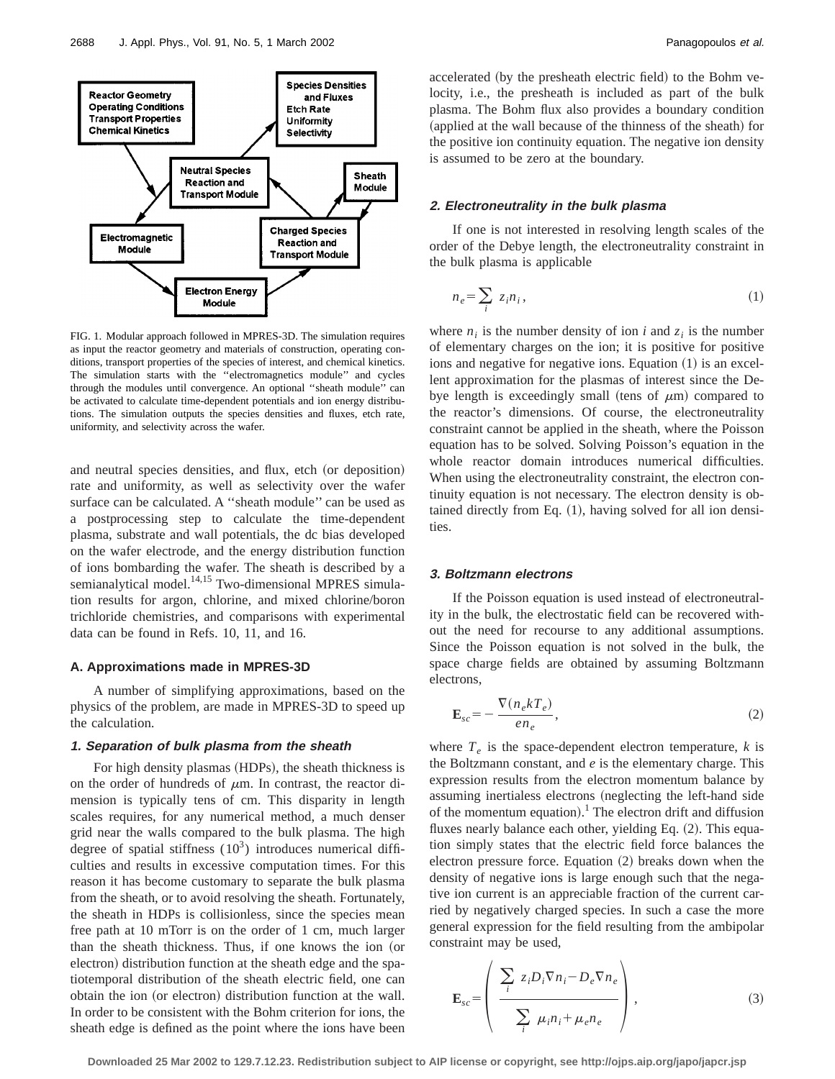

FIG. 1. Modular approach followed in MPRES-3D. The simulation requires as input the reactor geometry and materials of construction, operating conditions, transport properties of the species of interest, and chemical kinetics. The simulation starts with the ''electromagnetics module'' and cycles through the modules until convergence. An optional ''sheath module'' can be activated to calculate time-dependent potentials and ion energy distributions. The simulation outputs the species densities and fluxes, etch rate, uniformity, and selectivity across the wafer.

and neutral species densities, and flux, etch (or deposition) rate and uniformity, as well as selectivity over the wafer surface can be calculated. A ''sheath module'' can be used as a postprocessing step to calculate the time-dependent plasma, substrate and wall potentials, the dc bias developed on the wafer electrode, and the energy distribution function of ions bombarding the wafer. The sheath is described by a semianalytical model.<sup>14,15</sup> Two-dimensional MPRES simulation results for argon, chlorine, and mixed chlorine/boron trichloride chemistries, and comparisons with experimental data can be found in Refs. 10, 11, and 16.

#### **A. Approximations made in MPRES-3D**

A number of simplifying approximations, based on the physics of the problem, are made in MPRES-3D to speed up the calculation.

#### **1. Separation of bulk plasma from the sheath**

For high density plasmas (HDPs), the sheath thickness is on the order of hundreds of  $\mu$ m. In contrast, the reactor dimension is typically tens of cm. This disparity in length scales requires, for any numerical method, a much denser grid near the walls compared to the bulk plasma. The high degree of spatial stiffness  $(10^3)$  introduces numerical difficulties and results in excessive computation times. For this reason it has become customary to separate the bulk plasma from the sheath, or to avoid resolving the sheath. Fortunately, the sheath in HDPs is collisionless, since the species mean free path at 10 mTorr is on the order of 1 cm, much larger than the sheath thickness. Thus, if one knows the ion (or electron) distribution function at the sheath edge and the spatiotemporal distribution of the sheath electric field, one can obtain the ion (or electron) distribution function at the wall. In order to be consistent with the Bohm criterion for ions, the sheath edge is defined as the point where the ions have been accelerated (by the presheath electric field) to the Bohm velocity, i.e., the presheath is included as part of the bulk plasma. The Bohm flux also provides a boundary condition (applied at the wall because of the thinness of the sheath) for the positive ion continuity equation. The negative ion density is assumed to be zero at the boundary.

#### **2. Electroneutrality in the bulk plasma**

If one is not interested in resolving length scales of the order of the Debye length, the electroneutrality constraint in the bulk plasma is applicable

$$
n_e = \sum_i z_i n_i, \tag{1}
$$

where  $n_i$  is the number density of ion *i* and  $z_i$  is the number of elementary charges on the ion; it is positive for positive ions and negative for negative ions. Equation  $(1)$  is an excellent approximation for the plasmas of interest since the Debye length is exceedingly small (tens of  $\mu$ m) compared to the reactor's dimensions. Of course, the electroneutrality constraint cannot be applied in the sheath, where the Poisson equation has to be solved. Solving Poisson's equation in the whole reactor domain introduces numerical difficulties. When using the electroneutrality constraint, the electron continuity equation is not necessary. The electron density is obtained directly from Eq.  $(1)$ , having solved for all ion densities.

#### **3. Boltzmann electrons**

If the Poisson equation is used instead of electroneutrality in the bulk, the electrostatic field can be recovered without the need for recourse to any additional assumptions. Since the Poisson equation is not solved in the bulk, the space charge fields are obtained by assuming Boltzmann electrons,

$$
\mathbf{E}_{sc} = -\frac{\nabla (n_e k T_e)}{e n_e},\tag{2}
$$

where  $T_e$  is the space-dependent electron temperature,  $k$  is the Boltzmann constant, and *e* is the elementary charge. This expression results from the electron momentum balance by assuming inertialess electrons (neglecting the left-hand side of the momentum equation).<sup>1</sup> The electron drift and diffusion fluxes nearly balance each other, yielding Eq.  $(2)$ . This equation simply states that the electric field force balances the electron pressure force. Equation  $(2)$  breaks down when the density of negative ions is large enough such that the negative ion current is an appreciable fraction of the current carried by negatively charged species. In such a case the more general expression for the field resulting from the ambipolar constraint may be used,

$$
\mathbf{E}_{sc} = \left( \frac{\sum_{i} z_{i} D_{i} \nabla n_{i} - D_{e} \nabla n_{e}}{\sum_{i} \mu_{i} n_{i} + \mu_{e} n_{e}} \right), \qquad (3)
$$

**Downloaded 25 Mar 2002 to 129.7.12.23. Redistribution subject to AIP license or copyright, see http://ojps.aip.org/japo/japcr.jsp**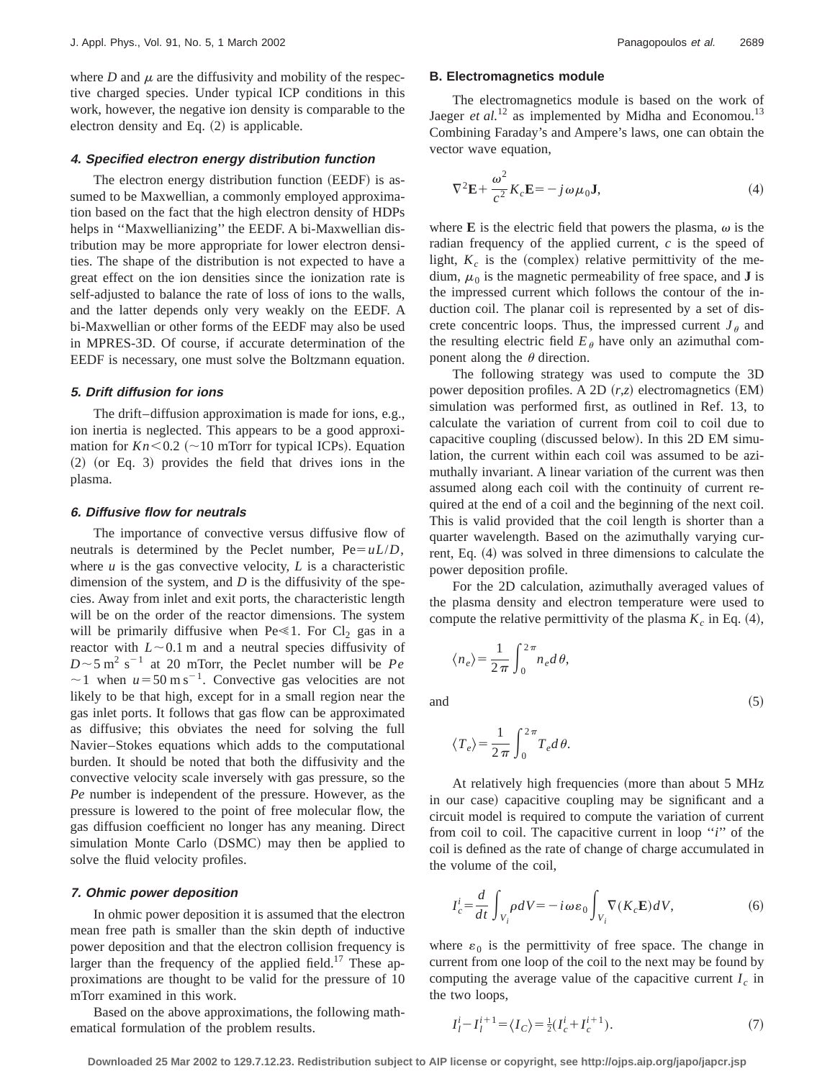where *D* and  $\mu$  are the diffusivity and mobility of the respective charged species. Under typical ICP conditions in this work, however, the negative ion density is comparable to the electron density and Eq.  $(2)$  is applicable.

# **4. Specified electron energy distribution function**

The electron energy distribution function (EEDF) is assumed to be Maxwellian, a commonly employed approximation based on the fact that the high electron density of HDPs helps in ''Maxwellianizing'' the EEDF. A bi-Maxwellian distribution may be more appropriate for lower electron densities. The shape of the distribution is not expected to have a great effect on the ion densities since the ionization rate is self-adjusted to balance the rate of loss of ions to the walls, and the latter depends only very weakly on the EEDF. A bi-Maxwellian or other forms of the EEDF may also be used in MPRES-3D. Of course, if accurate determination of the EEDF is necessary, one must solve the Boltzmann equation.

# **5. Drift diffusion for ions**

The drift–diffusion approximation is made for ions, e.g., ion inertia is neglected. This appears to be a good approximation for  $Kn < 0.2$  ( $\sim$ 10 mTorr for typical ICPs). Equation  $(2)$  (or Eq. 3) provides the field that drives ions in the plasma.

## **6. Diffusive flow for neutrals**

The importance of convective versus diffusive flow of neutrals is determined by the Peclet number,  $Pe = uL/D$ , where  $u$  is the gas convective velocity,  $L$  is a characteristic dimension of the system, and *D* is the diffusivity of the species. Away from inlet and exit ports, the characteristic length will be on the order of the reactor dimensions. The system will be primarily diffusive when  $Pe \le 1$ . For Cl<sub>2</sub> gas in a reactor with  $L \sim 0.1$  m and a neutral species diffusivity of  $D \sim 5$  m<sup>2</sup> s<sup>-1</sup> at 20 mTorr, the Peclet number will be *Pe*  $\sim$  1 when  $u = 50 \text{ m s}^{-1}$ . Convective gas velocities are not likely to be that high, except for in a small region near the gas inlet ports. It follows that gas flow can be approximated as diffusive; this obviates the need for solving the full Navier–Stokes equations which adds to the computational burden. It should be noted that both the diffusivity and the convective velocity scale inversely with gas pressure, so the *Pe* number is independent of the pressure. However, as the pressure is lowered to the point of free molecular flow, the gas diffusion coefficient no longer has any meaning. Direct simulation Monte Carlo (DSMC) may then be applied to solve the fluid velocity profiles.

#### **7. Ohmic power deposition**

In ohmic power deposition it is assumed that the electron mean free path is smaller than the skin depth of inductive power deposition and that the electron collision frequency is larger than the frequency of the applied field.<sup>17</sup> These approximations are thought to be valid for the pressure of 10 mTorr examined in this work.

Based on the above approximations, the following mathematical formulation of the problem results.

# **B. Electromagnetics module**

The electromagnetics module is based on the work of Jaeger *et al.*<sup>12</sup> as implemented by Midha and Economou.<sup>13</sup> Combining Faraday's and Ampere's laws, one can obtain the vector wave equation,

$$
\nabla^2 \mathbf{E} + \frac{\omega^2}{c^2} K_c \mathbf{E} = -j \omega \mu_0 \mathbf{J}, \tag{4}
$$

where  $\bf{E}$  is the electric field that powers the plasma,  $\omega$  is the radian frequency of the applied current, *c* is the speed of light,  $K_c$  is the (complex) relative permittivity of the medium,  $\mu_0$  is the magnetic permeability of free space, and **J** is the impressed current which follows the contour of the induction coil. The planar coil is represented by a set of discrete concentric loops. Thus, the impressed current  $J_{\theta}$  and the resulting electric field  $E_{\theta}$  have only an azimuthal component along the  $\theta$  direction.

The following strategy was used to compute the 3D power deposition profiles. A 2D  $(r,z)$  electromagnetics  $(EM)$ simulation was performed first, as outlined in Ref. 13, to calculate the variation of current from coil to coil due to capacitive coupling (discussed below). In this 2D EM simulation, the current within each coil was assumed to be azimuthally invariant. A linear variation of the current was then assumed along each coil with the continuity of current required at the end of a coil and the beginning of the next coil. This is valid provided that the coil length is shorter than a quarter wavelength. Based on the azimuthally varying current, Eq. (4) was solved in three dimensions to calculate the power deposition profile.

For the 2D calculation, azimuthally averaged values of the plasma density and electron temperature were used to compute the relative permittivity of the plasma  $K_c$  in Eq. (4),

$$
\langle n_e \rangle = \frac{1}{2\pi} \int_0^{2\pi} n_e d\theta,
$$

and  $(5)$ 

$$
\langle T_e \rangle = \frac{1}{2\pi} \int_0^{2\pi} T_e d\theta.
$$

At relatively high frequencies (more than about 5 MHz in our case) capacitive coupling may be significant and a circuit model is required to compute the variation of current from coil to coil. The capacitive current in loop ''*i*'' of the coil is defined as the rate of change of charge accumulated in the volume of the coil,

$$
I_c^i = \frac{d}{dt} \int_{V_i} \rho dV = -i \omega \varepsilon_0 \int_{V_i} \nabla (K_c \mathbf{E}) dV,
$$
 (6)

where  $\varepsilon_0$  is the permittivity of free space. The change in current from one loop of the coil to the next may be found by computing the average value of the capacitive current  $I_c$  in the two loops,

$$
I_l^i - I_l^{i+1} = \langle I_C \rangle = \frac{1}{2} (I_c^i + I_c^{i+1}). \tag{7}
$$

**Downloaded 25 Mar 2002 to 129.7.12.23. Redistribution subject to AIP license or copyright, see http://ojps.aip.org/japo/japcr.jsp**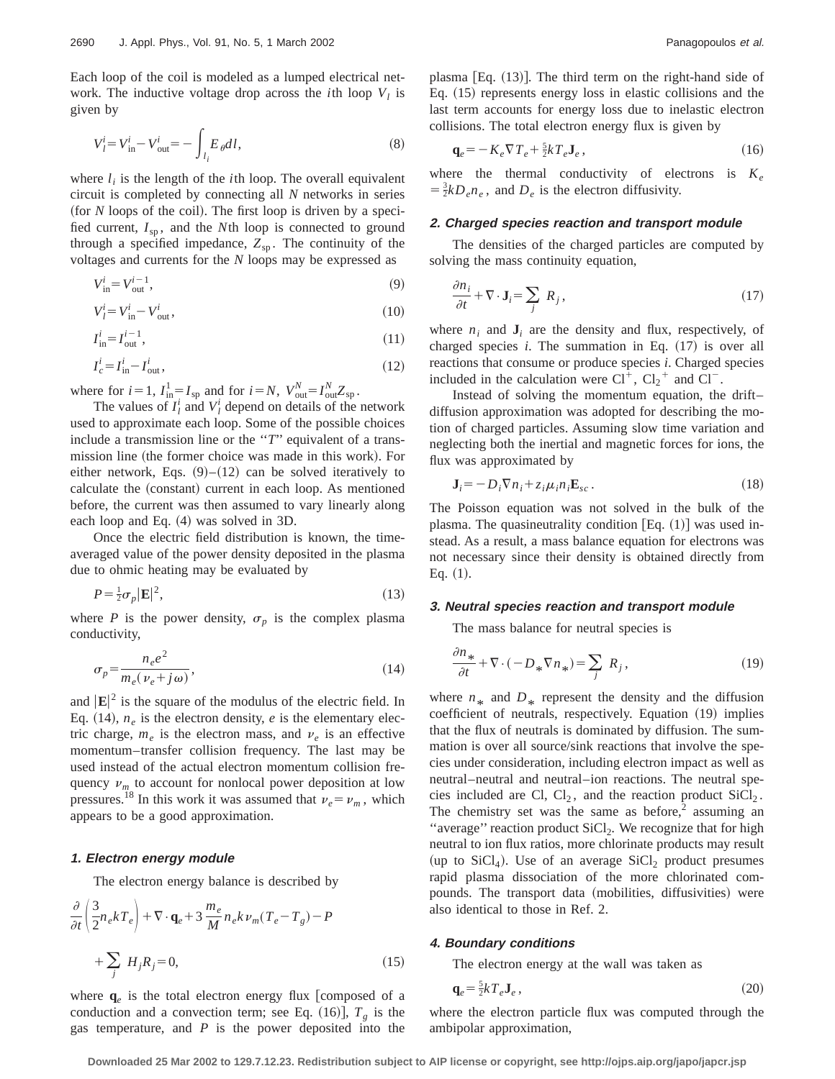Each loop of the coil is modeled as a lumped electrical network. The inductive voltage drop across the *i*th loop  $V<sub>l</sub>$  is given by

$$
V_{l}^{i} = V_{\text{in}}^{i} - V_{\text{out}}^{i} = -\int_{l_{i}} E_{\theta} dl,
$$
\n(8)

where  $l_i$  is the length of the *i*th loop. The overall equivalent circuit is completed by connecting all *N* networks in series (for *N* loops of the coil). The first loop is driven by a specified current,  $I_{sp}$ , and the *N*th loop is connected to ground through a specified impedance,  $Z_{\text{sp}}$ . The continuity of the voltages and currents for the *N* loops may be expressed as

$$
V_{\text{in}}^i = V_{\text{out}}^{i-1},\tag{9}
$$

$$
V_l^i = V_{\text{in}}^i - V_{\text{out}}^i,\tag{10}
$$

$$
I_{\text{in}}^i = I_{\text{out}}^{i-1},\tag{11}
$$

$$
I_c^i = I_{\text{in}}^i - I_{\text{out}}^i,\tag{12}
$$

where for  $i=1$ ,  $I_{in}^1 = I_{sp}$  and for  $i=N$ ,  $V_{out}^N = I_{out}^N Z_{sp}$ .

The values of  $I_l^i$  and  $V_l^i$  depend on details of the network used to approximate each loop. Some of the possible choices include a transmission line or the ''*T*'' equivalent of a transmission line (the former choice was made in this work). For either network, Eqs.  $(9)$ – $(12)$  can be solved iteratively to calculate the (constant) current in each loop. As mentioned before, the current was then assumed to vary linearly along each loop and Eq.  $(4)$  was solved in 3D.

Once the electric field distribution is known, the timeaveraged value of the power density deposited in the plasma due to ohmic heating may be evaluated by

$$
P = \frac{1}{2}\sigma_p |\mathbf{E}|^2,\tag{13}
$$

where *P* is the power density,  $\sigma_p$  is the complex plasma conductivity,

$$
\sigma_p = \frac{n_e e^2}{m_e(\nu_e + j\omega)},\tag{14}
$$

and  $|\mathbf{E}|^2$  is the square of the modulus of the electric field. In Eq.  $(14)$ ,  $n_e$  is the electron density, *e* is the elementary electric charge,  $m_e$  is the electron mass, and  $v_e$  is an effective momentum–transfer collision frequency. The last may be used instead of the actual electron momentum collision frequency  $\nu_{m}$  to account for nonlocal power deposition at low pressures.<sup>18</sup> In this work it was assumed that  $v_e = v_m$ , which appears to be a good approximation.

#### **1. Electron energy module**

The electron energy balance is described by

$$
\frac{\partial}{\partial t} \left( \frac{3}{2} n_e k T_e \right) + \nabla \cdot \mathbf{q}_e + 3 \frac{m_e}{M} n_e k \nu_m (T_e - T_g) - P
$$
  
+ 
$$
\sum_j H_j R_j = 0,
$$
 (15)

where  $q_e$  is the total electron energy flux [composed of a conduction and a convection term; see Eq.  $(16)$ ,  $T_g$  is the gas temperature, and *P* is the power deposited into the plasma  $[Eq. (13)]$ . The third term on the right-hand side of Eq.  $(15)$  represents energy loss in elastic collisions and the last term accounts for energy loss due to inelastic electron collisions. The total electron energy flux is given by

$$
\mathbf{q}_e = -K_e \nabla T_e + \frac{5}{2} k T_e \mathbf{J}_e, \qquad (16)
$$

where the thermal conductivity of electrons is  $K_e$  $= \frac{3}{2} k D_e n_e$ , and  $D_e$  is the electron diffusivity.

## **2. Charged species reaction and transport module**

The densities of the charged particles are computed by solving the mass continuity equation,

$$
\frac{\partial n_i}{\partial t} + \nabla \cdot \mathbf{J}_i = \sum_j R_j,\tag{17}
$$

where  $n_i$  and  $\mathbf{J}_i$  are the density and flux, respectively, of charged species  $i$ . The summation in Eq.  $(17)$  is over all reactions that consume or produce species *i*. Charged species included in the calculation were  $Cl^+$ ,  $Cl_2^+$  and  $Cl^-$ .

Instead of solving the momentum equation, the drift– diffusion approximation was adopted for describing the motion of charged particles. Assuming slow time variation and neglecting both the inertial and magnetic forces for ions, the flux was approximated by

$$
\mathbf{J}_i = -D_i \nabla n_i + z_i \mu_i n_i \mathbf{E}_{sc} \,. \tag{18}
$$

The Poisson equation was not solved in the bulk of the plasma. The quasineutrality condition  $[Eq. (1)]$  was used instead. As a result, a mass balance equation for electrons was not necessary since their density is obtained directly from Eq.  $(1)$ .

## **3. Neutral species reaction and transport module**

The mass balance for neutral species is

$$
\frac{\partial n_*}{\partial t} + \nabla \cdot (-D_* \nabla n_*) = \sum_j R_j,\tag{19}
$$

where  $n_*$  and  $D_*$  represent the density and the diffusion coefficient of neutrals, respectively. Equation (19) implies that the flux of neutrals is dominated by diffusion. The summation is over all source/sink reactions that involve the species under consideration, including electron impact as well as neutral–neutral and neutral–ion reactions. The neutral species included are Cl,  $Cl_2$ , and the reaction product  $SiCl_2$ . The chemistry set was the same as before, $2$  assuming an "average" reaction product  $SiCl<sub>2</sub>$ . We recognize that for high neutral to ion flux ratios, more chlorinate products may result (up to  $SiCl<sub>4</sub>$ ). Use of an average  $SiCl<sub>2</sub>$  product presumes rapid plasma dissociation of the more chlorinated compounds. The transport data (mobilities, diffusivities) were also identical to those in Ref. 2.

#### **4. Boundary conditions**

The electron energy at the wall was taken as

$$
\mathbf{q}_e = \frac{5}{2}kT_e \mathbf{J}_e \,,\tag{20}
$$

where the electron particle flux was computed through the ambipolar approximation,

**Downloaded 25 Mar 2002 to 129.7.12.23. Redistribution subject to AIP license or copyright, see http://ojps.aip.org/japo/japcr.jsp**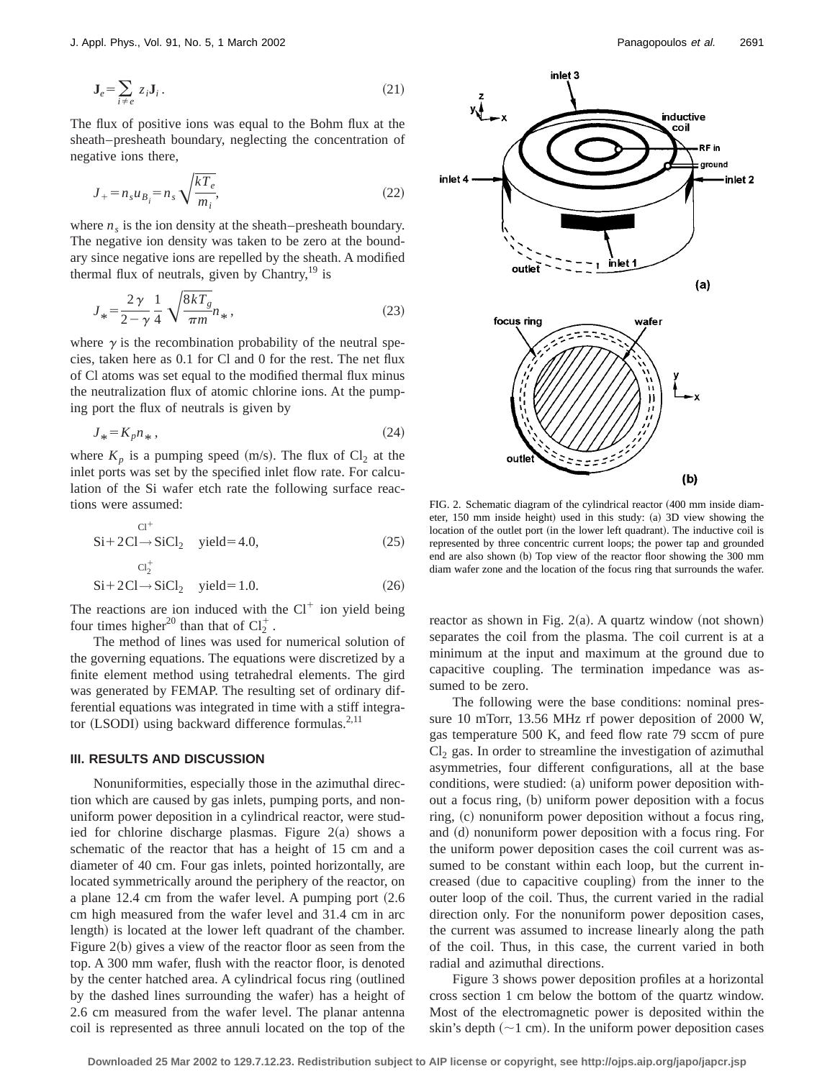$$
\mathbf{J}_e = \sum_{i \neq e} z_i \mathbf{J}_i. \tag{21}
$$

The flux of positive ions was equal to the Bohm flux at the sheath–presheath boundary, neglecting the concentration of negative ions there,

$$
J_{+} = n_{s} u_{B_{i}} = n_{s} \sqrt{\frac{kT_{e}}{m_{i}}},
$$
\n(22)

where  $n<sub>s</sub>$  is the ion density at the sheath–presheath boundary. The negative ion density was taken to be zero at the boundary since negative ions are repelled by the sheath. A modified thermal flux of neutrals, given by Chantry, $19$  is

$$
J_* = \frac{2\gamma}{2 - \gamma} \frac{1}{4} \sqrt{\frac{8kT_s}{\pi m}} n_* ,
$$
 (23)

where  $\gamma$  is the recombination probability of the neutral species, taken here as 0.1 for Cl and 0 for the rest. The net flux of Cl atoms was set equal to the modified thermal flux minus the neutralization flux of atomic chlorine ions. At the pumping port the flux of neutrals is given by

$$
J_* = K_p n_*,\tag{24}
$$

where  $K_p$  is a pumping speed (m/s). The flux of  $Cl_2$  at the inlet ports was set by the specified inlet flow rate. For calculation of the Si wafer etch rate the following surface reactions were assumed:

$$
Si + 2Cl \rightarrow SiCl2 yield = 4.0,
$$
\n(25)

$$
Cl_2^+
$$
  
Si+2Cl $\rightarrow$ SiCl<sub>2</sub> yield=1.0. (26)

The reactions are ion induced with the  $Cl<sup>+</sup>$  ion yield being four times higher<sup>20</sup> than that of  $Cl_2^+$ .

The method of lines was used for numerical solution of the governing equations. The equations were discretized by a finite element method using tetrahedral elements. The gird was generated by FEMAP. The resulting set of ordinary differential equations was integrated in time with a stiff integrator  $(LSODI)$  using backward difference formulas.<sup>2,11</sup>

# **III. RESULTS AND DISCUSSION**

Nonuniformities, especially those in the azimuthal direction which are caused by gas inlets, pumping ports, and nonuniform power deposition in a cylindrical reactor, were studied for chlorine discharge plasmas. Figure  $2(a)$  shows a schematic of the reactor that has a height of 15 cm and a diameter of 40 cm. Four gas inlets, pointed horizontally, are located symmetrically around the periphery of the reactor, on a plane  $12.4 \text{ cm}$  from the wafer level. A pumping port  $(2.6$ cm high measured from the wafer level and 31.4 cm in arc length) is located at the lower left quadrant of the chamber. Figure  $2(b)$  gives a view of the reactor floor as seen from the top. A 300 mm wafer, flush with the reactor floor, is denoted by the center hatched area. A cylindrical focus ring (outlined by the dashed lines surrounding the wafer) has a height of 2.6 cm measured from the wafer level. The planar antenna coil is represented as three annuli located on the top of the



FIG. 2. Schematic diagram of the cylindrical reactor (400 mm inside diameter, 150 mm inside height) used in this study: (a) 3D view showing the location of the outlet port (in the lower left quadrant). The inductive coil is represented by three concentric current loops; the power tap and grounded end are also shown (b) Top view of the reactor floor showing the 300 mm diam wafer zone and the location of the focus ring that surrounds the wafer.

reactor as shown in Fig.  $2(a)$ . A quartz window (not shown) separates the coil from the plasma. The coil current is at a minimum at the input and maximum at the ground due to capacitive coupling. The termination impedance was assumed to be zero.

The following were the base conditions: nominal pressure 10 mTorr, 13.56 MHz rf power deposition of 2000 W, gas temperature 500 K, and feed flow rate 79 sccm of pure  $Cl<sub>2</sub>$  gas. In order to streamline the investigation of azimuthal asymmetries, four different configurations, all at the base conditions, were studied:  $(a)$  uniform power deposition without a focus ring, (b) uniform power deposition with a focus  $ring, (c)$  nonuniform power deposition without a focus ring, and (d) nonuniform power deposition with a focus ring. For the uniform power deposition cases the coil current was assumed to be constant within each loop, but the current increased (due to capacitive coupling) from the inner to the outer loop of the coil. Thus, the current varied in the radial direction only. For the nonuniform power deposition cases, the current was assumed to increase linearly along the path of the coil. Thus, in this case, the current varied in both radial and azimuthal directions.

Figure 3 shows power deposition profiles at a horizontal cross section 1 cm below the bottom of the quartz window. Most of the electromagnetic power is deposited within the skin's depth  $(\sim 1 \text{ cm})$ . In the uniform power deposition cases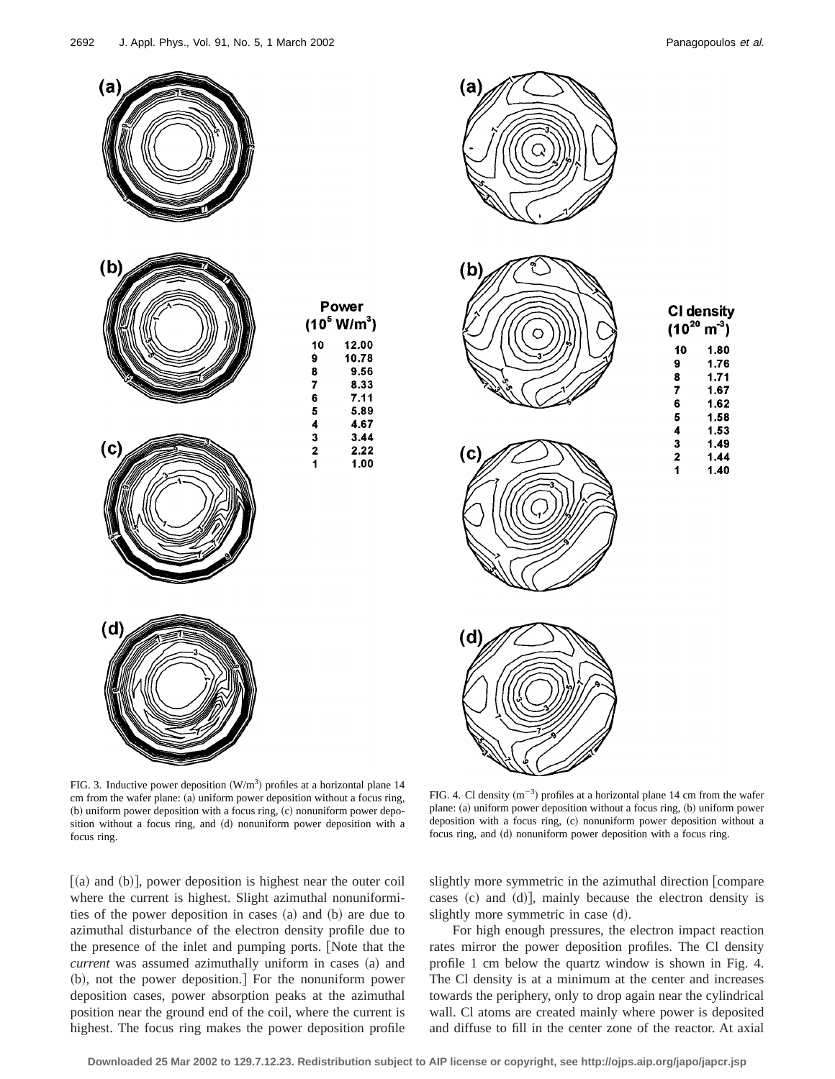1.80

1.76

 $1.71$ 

1.67

1.62

1.58

1.53

1.49

1.44

1.40



FIG. 3. Inductive power deposition  $(W/m<sup>3</sup>)$  profiles at a horizontal plane 14 cm from the wafer plane: (a) uniform power deposition without a focus ring,  $~$  (b) uniform power deposition with a focus ring,  $~$  (c) nonuniform power deposition without a focus ring, and (d) nonuniform power deposition with a focus ring.

 $[(a)$  and  $(b)]$ , power deposition is highest near the outer coil where the current is highest. Slight azimuthal nonuniformities of the power deposition in cases (a) and (b) are due to azimuthal disturbance of the electron density profile due to the presence of the inlet and pumping ports. [Note that the *current* was assumed azimuthally uniform in cases (a) and (b), not the power deposition.] For the nonuniform power deposition cases, power absorption peaks at the azimuthal position near the ground end of the coil, where the current is highest. The focus ring makes the power deposition profile

slightly more symmetric in the azimuthal direction [compare cases  $(c)$  and  $(d)$ , mainly because the electron density is slightly more symmetric in case (d).

FIG. 4. Cl density  $(m^{-3})$  profiles at a horizontal plane 14 cm from the wafer plane: (a) uniform power deposition without a focus ring, (b) uniform power deposition with a focus ring,  $(c)$  nonuniform power deposition without a focus ring, and (d) nonuniform power deposition with a focus ring.

For high enough pressures, the electron impact reaction rates mirror the power deposition profiles. The Cl density profile 1 cm below the quartz window is shown in Fig. 4. The Cl density is at a minimum at the center and increases towards the periphery, only to drop again near the cylindrical wall. Cl atoms are created mainly where power is deposited and diffuse to fill in the center zone of the reactor. At axial

**Downloaded 25 Mar 2002 to 129.7.12.23. Redistribution subject to AIP license or copyright, see http://ojps.aip.org/japo/japcr.jsp**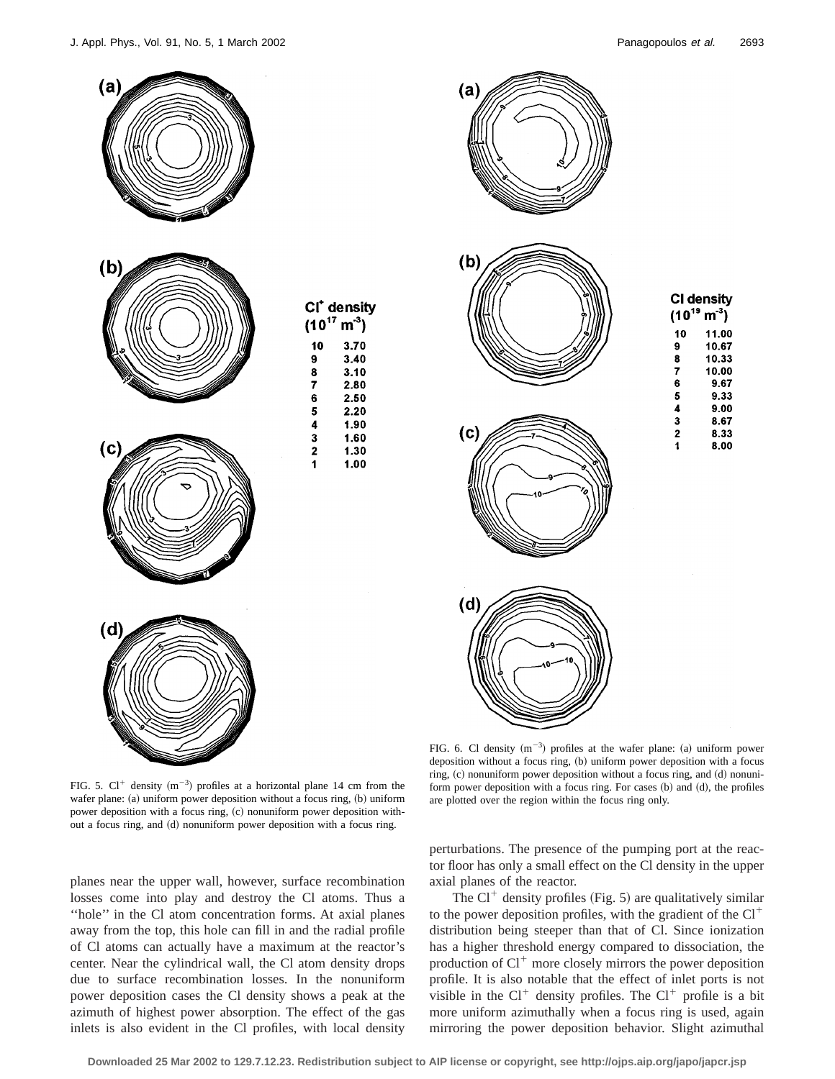**CI density** 

 $(10^{19} \text{ m}^3)$ 

10

9

8

 $\overline{\mathbf{r}}$ 

6

5

4

 $\mathbf 3$ 

 $\overline{\mathbf{2}}$ 

1

11.00

10.67

10.33

10.00

9.67

9.33

9.00

8.67

8.33

8.00



FIG. 6. Cl density  $(m^{-3})$  profiles at the wafer plane: (a) uniform power deposition without a focus ring, (b) uniform power deposition with a focus ring, (c) nonuniform power deposition without a focus ring, and (d) nonuniform power deposition with a focus ring. For cases  $(b)$  and  $(d)$ , the profiles are plotted over the region within the focus ring only.

FIG. 5.  $Cl^+$  density  $(m^{-3})$  profiles at a horizontal plane 14 cm from the wafer plane: (a) uniform power deposition without a focus ring, (b) uniform power deposition with a focus ring, (c) nonuniform power deposition without a focus ring, and (d) nonuniform power deposition with a focus ring.

planes near the upper wall, however, surface recombination losses come into play and destroy the Cl atoms. Thus a "hole" in the Cl atom concentration forms. At axial planes away from the top, this hole can fill in and the radial profile of Cl atoms can actually have a maximum at the reactor's center. Near the cylindrical wall, the Cl atom density drops due to surface recombination losses. In the nonuniform power deposition cases the Cl density shows a peak at the azimuth of highest power absorption. The effect of the gas inlets is also evident in the Cl profiles, with local density

perturbations. The presence of the pumping port at the reactor floor has only a small effect on the Cl density in the upper axial planes of the reactor.

The  $Cl^+$  density profiles (Fig. 5) are qualitatively similar to the power deposition profiles, with the gradient of the  $Cl<sup>+</sup>$ distribution being steeper than that of Cl. Since ionization has a higher threshold energy compared to dissociation, the production of  $Cl<sup>+</sup>$  more closely mirrors the power deposition profile. It is also notable that the effect of inlet ports is not visible in the  $Cl^+$  density profiles. The  $Cl^+$  profile is a bit more uniform azimuthally when a focus ring is used, again mirroring the power deposition behavior. Slight azimuthal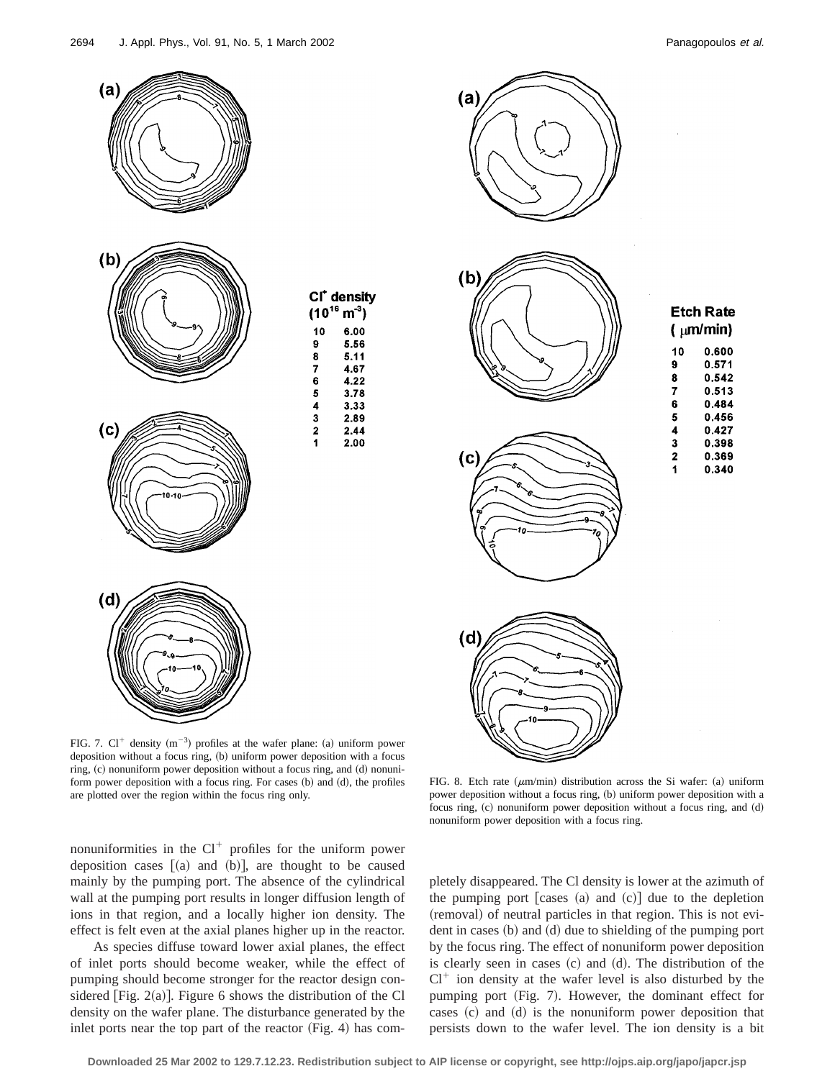

FIG. 7.  $Cl^+$  density  $(m^{-3})$  profiles at the wafer plane: (a) uniform power deposition without a focus ring, (b) uniform power deposition with a focus ring,  $(c)$  nonuniform power deposition without a focus ring, and  $(d)$  nonuniform power deposition with a focus ring. For cases  $(b)$  and  $(d)$ , the profiles are plotted over the region within the focus ring only.



FIG. 8. Etch rate  $(\mu m/min)$  distribution across the Si wafer: (a) uniform power deposition without a focus ring, (b) uniform power deposition with a focus ring,  $(c)$  nonuniform power deposition without a focus ring, and  $(d)$ nonuniform power deposition with a focus ring.

nonuniformities in the  $Cl<sup>+</sup>$  profiles for the uniform power deposition cases  $[(a)$  and  $(b)]$ , are thought to be caused mainly by the pumping port. The absence of the cylindrical wall at the pumping port results in longer diffusion length of ions in that region, and a locally higher ion density. The effect is felt even at the axial planes higher up in the reactor.

As species diffuse toward lower axial planes, the effect of inlet ports should become weaker, while the effect of pumping should become stronger for the reactor design considered [Fig. 2(a)]. Figure 6 shows the distribution of the Cl density on the wafer plane. The disturbance generated by the inlet ports near the top part of the reactor  $(Fig. 4)$  has completely disappeared. The Cl density is lower at the azimuth of the pumping port  $[cases (a)$  and  $(c)]$  due to the depletion (removal) of neutral particles in that region. This is not evident in cases (b) and (d) due to shielding of the pumping port by the focus ring. The effect of nonuniform power deposition is clearly seen in cases  $(c)$  and  $(d)$ . The distribution of the  $Cl<sup>+</sup>$  ion density at the wafer level is also disturbed by the pumping port (Fig. 7). However, the dominant effect for cases  $(c)$  and  $(d)$  is the nonuniform power deposition that persists down to the wafer level. The ion density is a bit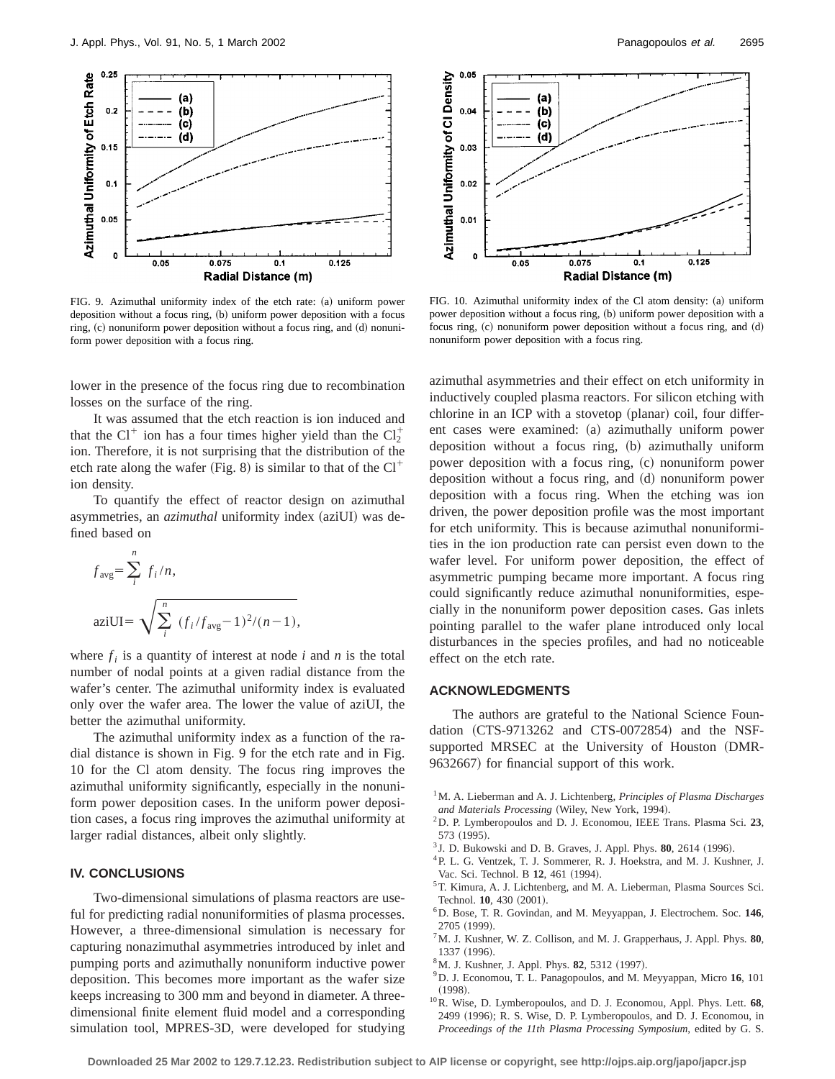

FIG. 9. Azimuthal uniformity index of the etch rate: (a) uniform power deposition without a focus ring, (b) uniform power deposition with a focus ring, (c) nonuniform power deposition without a focus ring, and (d) nonuniform power deposition with a focus ring.

lower in the presence of the focus ring due to recombination losses on the surface of the ring.

It was assumed that the etch reaction is ion induced and that the  $Cl^+$  ion has a four times higher yield than the  $Cl_2^+$ ion. Therefore, it is not surprising that the distribution of the etch rate along the wafer (Fig. 8) is similar to that of the  $Cl<sup>+</sup>$ ion density.

To quantify the effect of reactor design on azimuthal asymmetries, an *azimuthal* uniformity index (aziUI) was defined based on

$$
f_{\text{avg}} = \sum_{i}^{n} f_i / n,
$$
  
aziUI =  $\sqrt{\sum_{i}^{n} (f_i / f_{\text{avg}} - 1)^2 / (n - 1)},$ 

where  $f_i$  is a quantity of interest at node *i* and *n* is the total number of nodal points at a given radial distance from the wafer's center. The azimuthal uniformity index is evaluated only over the wafer area. The lower the value of aziUI, the better the azimuthal uniformity.

The azimuthal uniformity index as a function of the radial distance is shown in Fig. 9 for the etch rate and in Fig. 10 for the Cl atom density. The focus ring improves the azimuthal uniformity significantly, especially in the nonuniform power deposition cases. In the uniform power deposition cases, a focus ring improves the azimuthal uniformity at larger radial distances, albeit only slightly.

#### **IV. CONCLUSIONS**

Two-dimensional simulations of plasma reactors are useful for predicting radial nonuniformities of plasma processes. However, a three-dimensional simulation is necessary for capturing nonazimuthal asymmetries introduced by inlet and pumping ports and azimuthally nonuniform inductive power deposition. This becomes more important as the wafer size keeps increasing to 300 mm and beyond in diameter. A threedimensional finite element fluid model and a corresponding simulation tool, MPRES-3D, were developed for studying



FIG. 10. Azimuthal uniformity index of the Cl atom density: (a) uniform power deposition without a focus ring, (b) uniform power deposition with a focus ring,  $(c)$  nonuniform power deposition without a focus ring, and  $(d)$ nonuniform power deposition with a focus ring.

azimuthal asymmetries and their effect on etch uniformity in inductively coupled plasma reactors. For silicon etching with chlorine in an ICP with a stovetop (planar) coil, four different cases were examined: (a) azimuthally uniform power deposition without a focus ring, (b) azimuthally uniform power deposition with a focus ring, (c) nonuniform power deposition without a focus ring, and (d) nonuniform power deposition with a focus ring. When the etching was ion driven, the power deposition profile was the most important for etch uniformity. This is because azimuthal nonuniformities in the ion production rate can persist even down to the wafer level. For uniform power deposition, the effect of asymmetric pumping became more important. A focus ring could significantly reduce azimuthal nonuniformities, especially in the nonuniform power deposition cases. Gas inlets pointing parallel to the wafer plane introduced only local disturbances in the species profiles, and had no noticeable effect on the etch rate.

# **ACKNOWLEDGMENTS**

The authors are grateful to the National Science Foundation  $(CTS-9713262$  and  $CTS-0072854$  and the NSFsupported MRSEC at the University of Houston (DMR-9632667) for financial support of this work.

- 1M. A. Lieberman and A. J. Lichtenberg, *Principles of Plasma Discharges* and Materials Processing (Wiley, New York, 1994).
- 2D. P. Lymberopoulos and D. J. Economou, IEEE Trans. Plasma Sci. **23**, 573 (1995).
- $3$  J. D. Bukowski and D. B. Graves, J. Appl. Phys.  $80$ ,  $2614$  (1996).
- 4P. L. G. Ventzek, T. J. Sommerer, R. J. Hoekstra, and M. J. Kushner, J. Vac. Sci. Technol. B 12, 461 (1994).
- 5T. Kimura, A. J. Lichtenberg, and M. A. Lieberman, Plasma Sources Sci. Technol. **10**, 430 (2001).
- 6D. Bose, T. R. Govindan, and M. Meyyappan, J. Electrochem. Soc. **146**, 2705 (1999).
- 7M. J. Kushner, W. Z. Collison, and M. J. Grapperhaus, J. Appl. Phys. **80**, 1337 (1996).
- <sup>8</sup>M. J. Kushner, J. Appl. Phys. **82**, 5312 (1997).
- 9D. J. Economou, T. L. Panagopoulos, and M. Meyyappan, Micro **16**, 101  $(1998).$
- 10R. Wise, D. Lymberopoulos, and D. J. Economou, Appl. Phys. Lett. **68**, 2499 (1996); R. S. Wise, D. P. Lymberopoulos, and D. J. Economou, in *Proceedings of the 11th Plasma Processing Symposium*, edited by G. S.